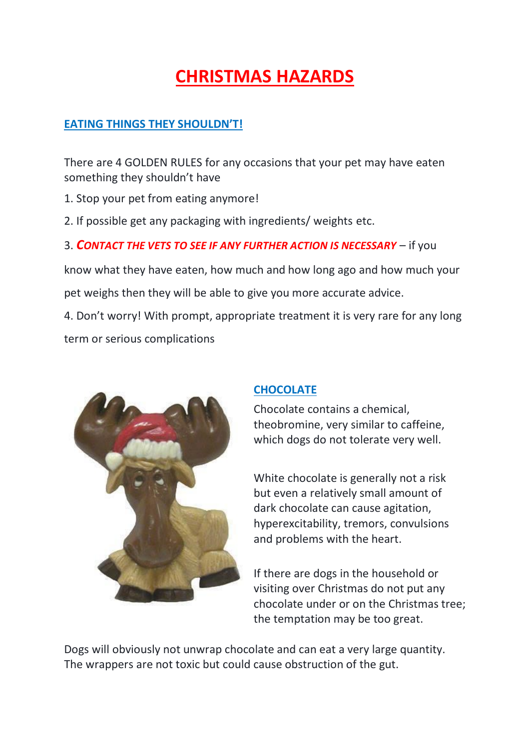# **CHRISTMAS HAZARDS**

### **EATING THINGS THEY SHOULDN'T!**

There are 4 GOLDEN RULES for any occasions that your pet may have eaten something they shouldn't have

- 1. Stop your pet from eating anymore!
- 2. If possible get any packaging with ingredients/ weights etc.

# 3. *CONTACT THE VETS TO SEE IF ANY FURTHER ACTION IS NECESSARY* – if you

know what they have eaten, how much and how long ago and how much your pet weighs then they will be able to give you more accurate advice.

4. Don't worry! With prompt, appropriate treatment it is very rare for any long term or serious complications



# **CHOCOLATE**

Chocolate contains a chemical, theobromine, very similar to caffeine, which dogs do not tolerate very well.

White chocolate is generally not a risk but even a relatively small amount of dark chocolate can cause agitation, hyperexcitability, tremors, convulsions and problems with the heart.

If there are dogs in the household or visiting over Christmas do not put any chocolate under or on the Christmas tree; the temptation may be too great.

Dogs will obviously not unwrap chocolate and can eat a very large quantity. The wrappers are not toxic but could cause obstruction of the gut.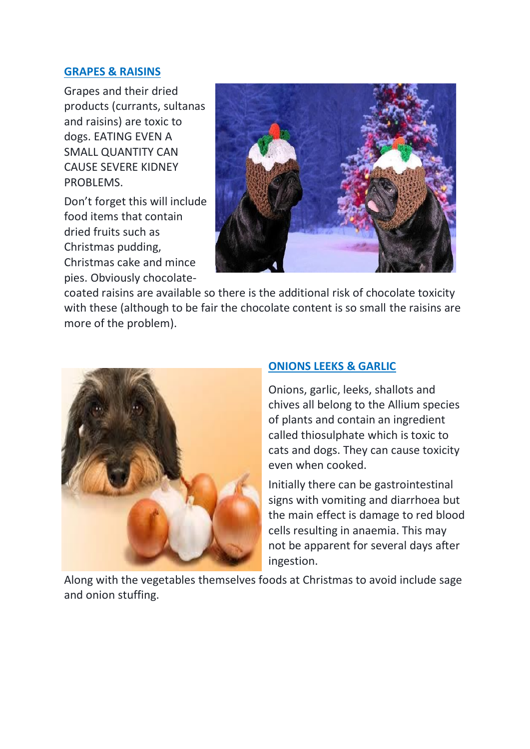#### **GRAPES & RAISINS**

Grapes and their dried products (currants, sultanas and raisins) are toxic to dogs. EATING EVEN A SMALL QUANTITY CAN CAUSE SEVERE KIDNEY PROBLEMS.

Don't forget this will include food items that contain dried fruits such as Christmas pudding, Christmas cake and mince pies. Obviously chocolate-



coated raisins are available so there is the additional risk of chocolate toxicity with these (although to be fair the chocolate content is so small the raisins are more of the problem).



#### **ONIONS LEEKS & GARLIC**

Onions, garlic, leeks, shallots and chives all belong to the Allium species of plants and contain an ingredient called thiosulphate which is toxic to cats and dogs. They can cause toxicity even when cooked.

Initially there can be gastrointestinal signs with vomiting and diarrhoea but the main effect is damage to red blood cells resulting in anaemia. This may not be apparent for several days after ingestion.

Along with the vegetables themselves foods at Christmas to avoid include sage and onion stuffing.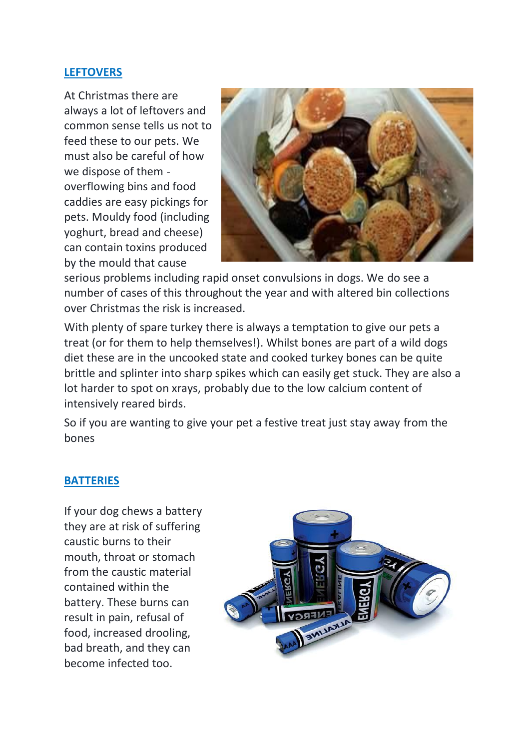#### **LEFTOVERS**

At Christmas there are always a lot of leftovers and common sense tells us not to feed these to our pets. We must also be careful of how we dispose of them overflowing bins and food caddies are easy pickings for pets. Mouldy food (including yoghurt, bread and cheese) can contain toxins produced by the mould that cause



serious problems including rapid onset convulsions in dogs. We do see a number of cases of this throughout the year and with altered bin collections over Christmas the risk is increased.

With plenty of spare turkey there is always a temptation to give our pets a treat (or for them to help themselves!). Whilst bones are part of a wild dogs diet these are in the uncooked state and cooked turkey bones can be quite brittle and splinter into sharp spikes which can easily get stuck. They are also a lot harder to spot on xrays, probably due to the low calcium content of intensively reared birds.

So if you are wanting to give your pet a festive treat just stay away from the bones

#### **BATTERIES**

If your dog chews a battery they are at risk of suffering caustic burns to their mouth, throat or stomach from the caustic material contained within the battery. These burns can result in pain, refusal of food, increased drooling, bad breath, and they can become infected too.

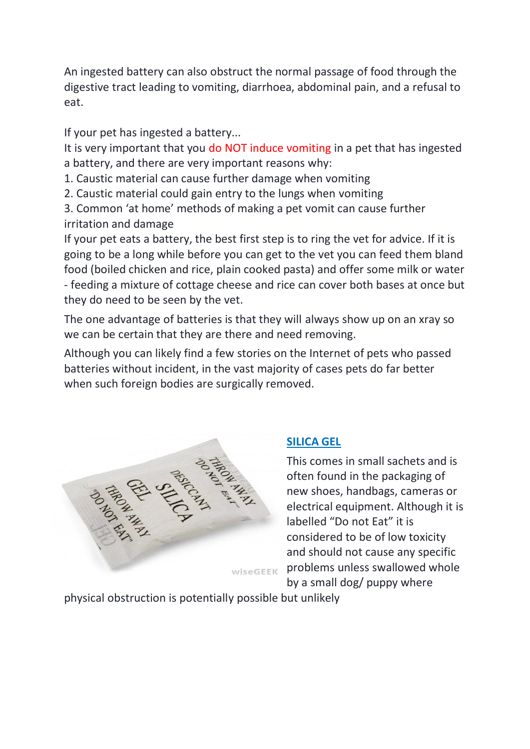An ingested battery can also obstruct the normal passage of food through the digestive tract leading to vomiting, diarrhoea, abdominal pain, and a refusal to eat.

If your pet has ingested a battery...

It is very important that you do NOT induce vomiting in a pet that has ingested a battery, and there are very important reasons why:

- 1. Caustic material can cause further damage when vomiting
- 2. Caustic material could gain entry to the lungs when vomiting

3. Common 'at home' methods of making a pet vomit can cause further irritation and damage

If your pet eats a battery, the best first step is to ring the vet for advice. If it is going to be a long while before you can get to the vet you can feed them bland food (boiled chicken and rice, plain cooked pasta) and offer some milk or water - feeding a mixture of cottage cheese and rice can cover both bases at once but they do need to be seen by the vet.

The one advantage of batteries is that they will always show up on an xray so we can be certain that they are there and need removing.

Although you can likely find a few stories on the Internet of pets who passed batteries without incident, in the vast majority of cases pets do far better when such foreign bodies are surgically removed.



# **SILICA GEL**

This comes in small sachets and is often found in the packaging of new shoes, handbags, cameras or electrical equipment. Although it is labelled "Do not Eat" it is considered to be of low toxicity and should not cause any specific problems unless swallowed whole by a small dog/ puppy where

physical obstruction is potentially possible but unlikely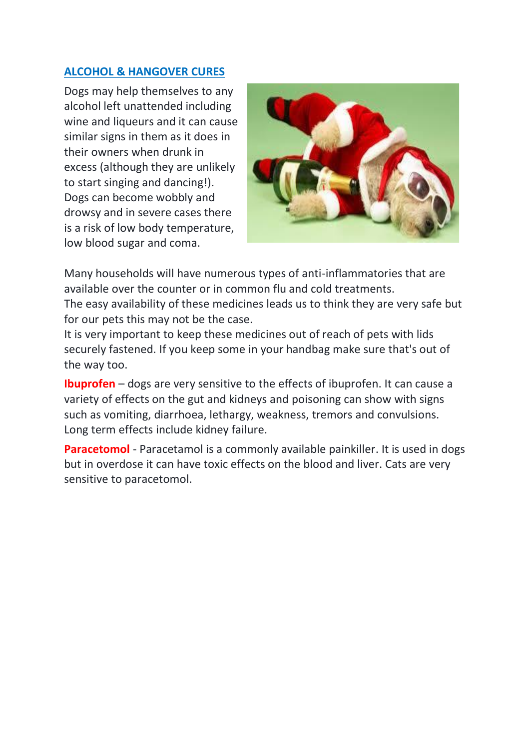## **ALCOHOL & HANGOVER CURES**

Dogs may help themselves to any alcohol left unattended including wine and liqueurs and it can cause similar signs in them as it does in their owners when drunk in excess (although they are unlikely to start singing and dancing!). Dogs can become wobbly and drowsy and in severe cases there is a risk of low body temperature, low blood sugar and coma.



Many households will have numerous types of anti-inflammatories that are available over the counter or in common flu and cold treatments.

The easy availability of these medicines leads us to think they are very safe but for our pets this may not be the case.

It is very important to keep these medicines out of reach of pets with lids securely fastened. If you keep some in your handbag make sure that's out of the way too.

**Ibuprofen** – dogs are very sensitive to the effects of ibuprofen. It can cause a variety of effects on the gut and kidneys and poisoning can show with signs such as vomiting, diarrhoea, lethargy, weakness, tremors and convulsions. Long term effects include kidney failure.

**Paracetomol** - Paracetamol is a commonly available painkiller. It is used in dogs but in overdose it can have toxic effects on the blood and liver. Cats are very sensitive to paracetomol.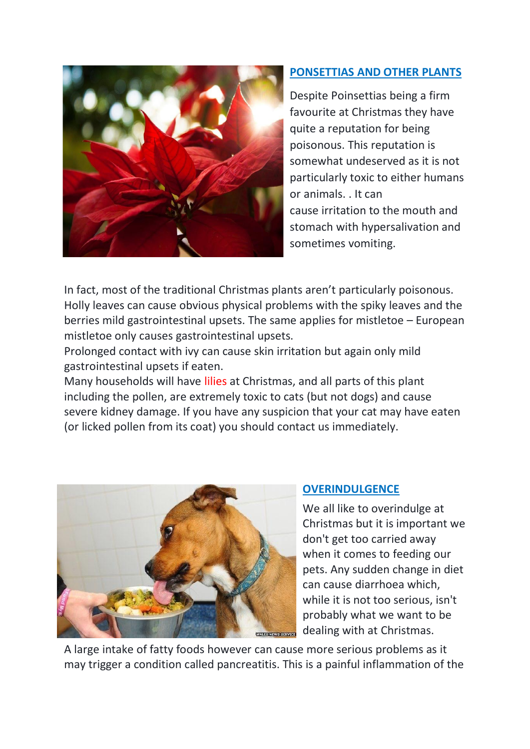

# **PONSETTIAS AND OTHER PLANTS**

Despite Poinsettias being a firm favourite at Christmas they have quite a reputation for being poisonous. This reputation is somewhat undeserved as it is not particularly toxic to either humans or animals. . It can cause irritation to the mouth and stomach with hypersalivation and sometimes vomiting.

In fact, most of the traditional Christmas plants aren't particularly poisonous. Holly leaves can cause obvious physical problems with the spiky leaves and the berries mild gastrointestinal upsets. The same applies for mistletoe – European mistletoe only causes gastrointestinal upsets.

Prolonged contact with ivy can cause skin irritation but again only mild gastrointestinal upsets if eaten.

Many households will have lilies at Christmas, and all parts of this plant including the pollen, are extremely toxic to cats (but not dogs) and cause severe kidney damage. If you have any suspicion that your cat may have eaten (or licked pollen from its coat) you should contact us immediately.



#### **OVERINDULGENCE**

We all like to overindulge at Christmas but it is important we don't get too carried away when it comes to feeding our pets. Any sudden change in diet can cause diarrhoea which, while it is not too serious, isn't probably what we want to be dealing with at Christmas.

A large intake of fatty foods however can cause more serious problems as it may trigger a condition called pancreatitis. This is a painful inflammation of the